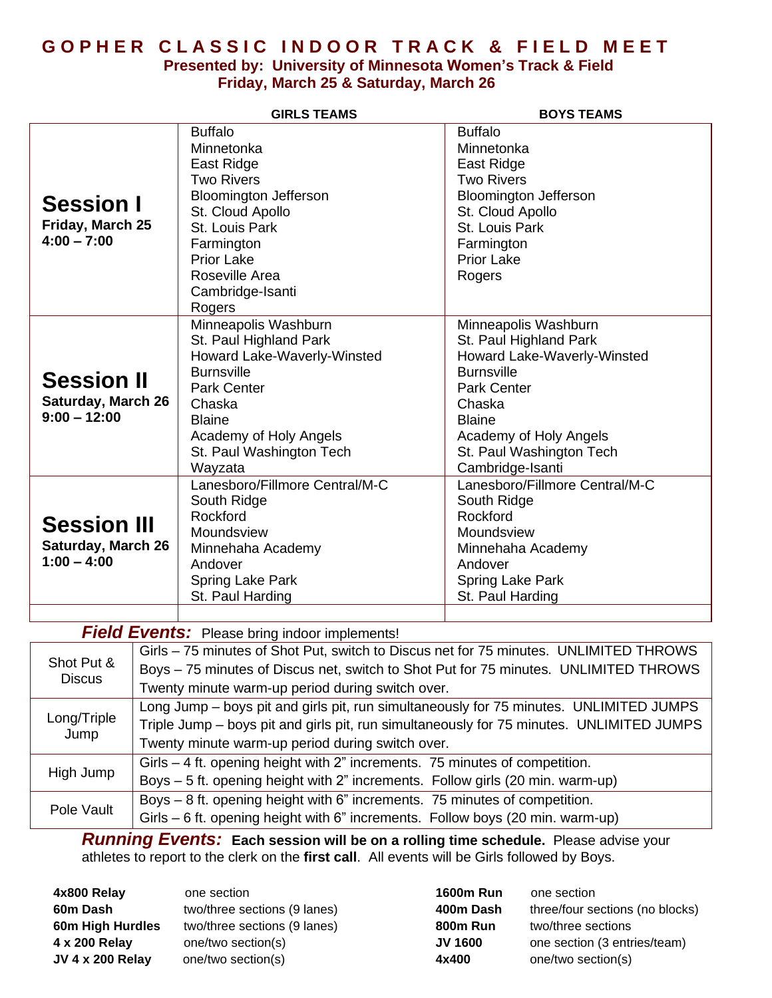## **G O P H E R C L A S S I C I N D O O R T R A C K & F I E L D M E E T**

#### **Presented by: University of Minnesota Women's Track & Field Friday, March 25 & Saturday, March 26**

|                                                                  |                                                                                                                                                                                    | <b>GIRLS TEAMS</b>                                                                                                                                                                                                       | <b>BOYS TEAMS</b>                                                                                                                                                                                                             |  |
|------------------------------------------------------------------|------------------------------------------------------------------------------------------------------------------------------------------------------------------------------------|--------------------------------------------------------------------------------------------------------------------------------------------------------------------------------------------------------------------------|-------------------------------------------------------------------------------------------------------------------------------------------------------------------------------------------------------------------------------|--|
| <b>Session I</b><br>Friday, March 25<br>$4:00 - 7:00$            |                                                                                                                                                                                    | <b>Buffalo</b><br>Minnetonka<br>East Ridge<br><b>Two Rivers</b><br><b>Bloomington Jefferson</b><br>St. Cloud Apollo<br>St. Louis Park<br>Farmington<br><b>Prior Lake</b><br>Roseville Area<br>Cambridge-Isanti<br>Rogers | <b>Buffalo</b><br>Minnetonka<br>East Ridge<br><b>Two Rivers</b><br><b>Bloomington Jefferson</b><br>St. Cloud Apollo<br>St. Louis Park<br>Farmington<br><b>Prior Lake</b><br>Rogers                                            |  |
| <b>Session II</b><br><b>Saturday, March 26</b><br>$9:00 - 12:00$ |                                                                                                                                                                                    | Minneapolis Washburn<br>St. Paul Highland Park<br>Howard Lake-Waverly-Winsted<br><b>Burnsville</b><br><b>Park Center</b><br>Chaska<br><b>Blaine</b><br>Academy of Holy Angels<br>St. Paul Washington Tech<br>Wayzata     | Minneapolis Washburn<br>St. Paul Highland Park<br>Howard Lake-Waverly-Winsted<br><b>Burnsville</b><br><b>Park Center</b><br>Chaska<br><b>Blaine</b><br>Academy of Holy Angels<br>St. Paul Washington Tech<br>Cambridge-Isanti |  |
| <b>Session III</b><br><b>Saturday, March 26</b><br>$1:00 - 4:00$ |                                                                                                                                                                                    | Lanesboro/Fillmore Central/M-C<br>South Ridge<br>Rockford<br>Moundsview<br>Minnehaha Academy<br>Andover<br>Spring Lake Park<br>St. Paul Harding                                                                          | Lanesboro/Fillmore Central/M-C<br>South Ridge<br>Rockford<br>Moundsview<br>Minnehaha Academy<br>Andover<br>Spring Lake Park<br>St. Paul Harding                                                                               |  |
|                                                                  |                                                                                                                                                                                    |                                                                                                                                                                                                                          |                                                                                                                                                                                                                               |  |
|                                                                  | <b>Field Events:</b> Please bring indoor implements!<br>Girls - 75 minutes of Shot Put, switch to Discus net for 75 minutes. UNLIMITED THROWS                                      |                                                                                                                                                                                                                          |                                                                                                                                                                                                                               |  |
| Shot Put &<br><b>Discus</b>                                      | Boys - 75 minutes of Discus net, switch to Shot Put for 75 minutes. UNLIMITED THROWS<br>Twenty minute warm-up period during switch over.                                           |                                                                                                                                                                                                                          |                                                                                                                                                                                                                               |  |
| Long/Triple                                                      | Long Jump – boys pit and girls pit, run simultaneously for 75 minutes. UNLIMITED JUMPS<br>Triple Jump – boys pit and girls pit, run simultaneously for 75 minutes. UNLIMITED JUMPS |                                                                                                                                                                                                                          |                                                                                                                                                                                                                               |  |

| Jump       | There can be a serious and the pit, ran ciniquationally for rollington. Original ED commod |
|------------|--------------------------------------------------------------------------------------------|
|            | Twenty minute warm-up period during switch over.                                           |
| High Jump  | Girls – 4 ft. opening height with 2" increments. 75 minutes of competition.                |
|            | Boys – 5 ft. opening height with 2" increments. Follow girls (20 min. warm-up)             |
| Pole Vault | Boys – 8 ft. opening height with 6" increments. 75 minutes of competition.                 |
|            | Girls – 6 ft. opening height with 6" increments. Follow boys (20 min. warm-up)             |

*Running Events:* **Each session will be on a rolling time schedule.** Please advise your athletes to report to the clerk on the **first call**. All events will be Girls followed by Boys.

**4x800 Relay** one section **60m Dash** two/three sections (9 lanes) **60m High Hurdles** two/three sections (9 lanes) **4 x 200 Relay** one/two section(s) **JV 4 x 200 Relay** one/two section(s)

| 1600m Run | one section                     |
|-----------|---------------------------------|
| 400m Dash | three/four sections (no blocks) |
| 800m Run  | two/three sections              |
| JV 1600   | one section (3 entries/team)    |
| 4x400     | one/two section(s)              |
|           |                                 |